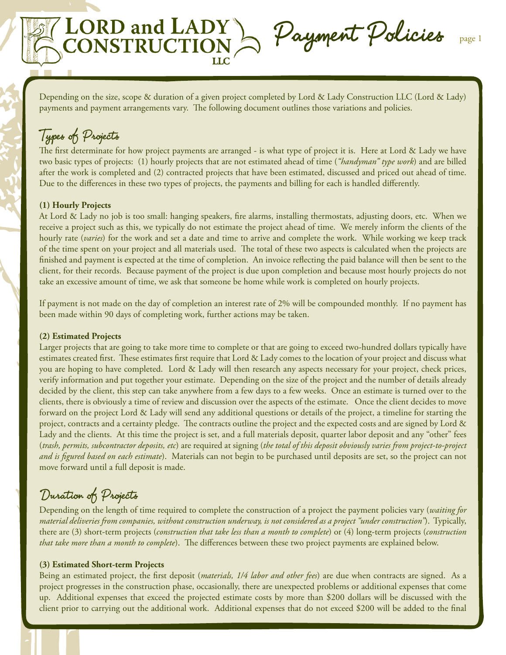Depending on the size, scope & duration of a given project completed by Lord & Lady Construction LLC (Lord & Lady) payments and payment arrangements vary. The following document outlines those variations and policies.

RD and LADY ) Payment Policies page 1

# Types of Projects

The first determinate for how project payments are arranged - is what type of project it is. Here at Lord & Lady we have two basic types of projects: (1) hourly projects that are not estimated ahead of time (*"handyman" type work*) and are billed after the work is completed and (2) contracted projects that have been estimated, discussed and priced out ahead of time. Due to the differences in these two types of projects, the payments and billing for each is handled differently.

### **(1) Hourly Projects**

At Lord & Lady no job is too small: hanging speakers, fire alarms, installing thermostats, adjusting doors, etc. When we receive a project such as this, we typically do not estimate the project ahead of time. We merely inform the clients of the hourly rate (*varies*) for the work and set a date and time to arrive and complete the work. While working we keep track of the time spent on your project and all materials used. The total of these two aspects is calculated when the projects are finished and payment is expected at the time of completion. An invoice reflecting the paid balance will then be sent to the client, for their records. Because payment of the project is due upon completion and because most hourly projects do not take an excessive amount of time, we ask that someone be home while work is completed on hourly projects.

If payment is not made on the day of completion an interest rate of 2% will be compounded monthly. If no payment has been made within 90 days of completing work, further actions may be taken.

#### **(2) Estimated Projects**

Larger projects that are going to take more time to complete or that are going to exceed two-hundred dollars typically have estimates created first. These estimates first require that Lord & Lady comes to the location of your project and discuss what you are hoping to have completed. Lord & Lady will then research any aspects necessary for your project, check prices, verify information and put together your estimate. Depending on the size of the project and the number of details already decided by the client, this step can take anywhere from a few days to a few weeks. Once an estimate is turned over to the clients, there is obviously a time of review and discussion over the aspects of the estimate. Once the client decides to move forward on the project Lord & Lady will send any additional questions or details of the project, a timeline for starting the project, contracts and a certainty pledge. The contracts outline the project and the expected costs and are signed by Lord & Lady and the clients. At this time the project is set, and a full materials deposit, quarter labor deposit and any "other" fees (*trash, permits, subcontractor deposits, etc*) are required at signing (*the total of this deposit obviously varies from project-to-project and is figured based on each estimate*). Materials can not begin to be purchased until deposits are set, so the project can not move forward until a full deposit is made.

## Duration of Projects

Depending on the length of time required to complete the construction of a project the payment policies vary (*waiting for material deliveries from companies, without construction underway, is not considered as a project "under construction"*). Typically, there are (3) short-term projects (*construction that take less than a month to complete*) or (4) long-term projects (*construction that take more than a month to complete*). The differences between these two project payments are explained below.

#### **(3) Estimated Short-term Projects**

Being an estimated project, the first deposit (*materials, 1/4 labor and other fees*) are due when contracts are signed. As a project progresses in the construction phase, occasionally, there are unexpected problems or additional expenses that come up. Additional expenses that exceed the projected estimate costs by more than \$200 dollars will be discussed with the client prior to carrying out the additional work. Additional expenses that do not exceed \$200 will be added to the final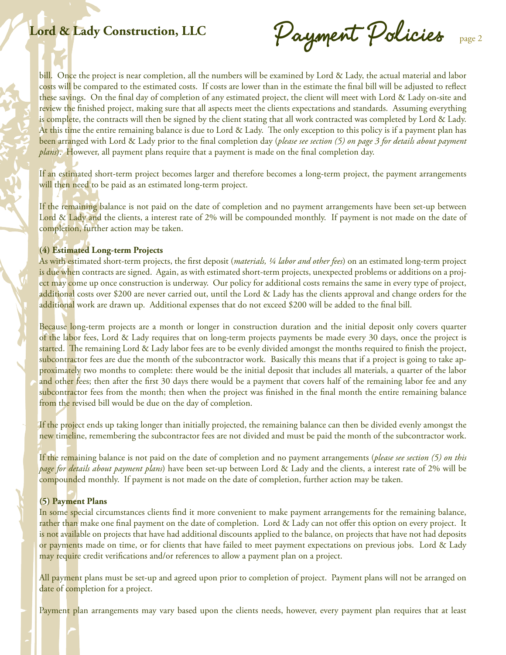Lord & Lady Construction, LLC Payment Policies page 2

bill. Once the project is near completion, all the numbers will be examined by Lord & Lady, the actual material and labor costs will be compared to the estimated costs. If costs are lower than in the estimate the final bill will be adjusted to reflect these savings. On the final day of completion of any estimated project, the client will meet with Lord & Lady on-site and review the finished project, making sure that all aspects meet the clients expectations and standards. Assuming everything is complete, the contracts will then be signed by the client stating that all work contracted was completed by Lord & Lady. At this time the entire remaining balance is due to Lord & Lady. The only exception to this policy is if a payment plan has been arranged with Lord & Lady prior to the final completion day (*please see section (5) on page 3 for details about payment plans*). However, all payment plans require that a payment is made on the final completion day.

If an estimated short-term project becomes larger and therefore becomes a long-term project, the payment arrangements will then need to be paid as an estimated long-term project.

If the remaining balance is not paid on the date of completion and no payment arrangements have been set-up between Lord & Lady and the clients, a interest rate of 2% will be compounded monthly. If payment is not made on the date of completion, further action may be taken.

#### **(4) Estimated Long-term Projects**

As with estimated short-term projects, the first deposit (*materials, ¼ labor and other fees*) on an estimated long-term project is due when contracts are signed. Again, as with estimated short-term projects, unexpected problems or additions on a project may come up once construction is underway. Our policy for additional costs remains the same in every type of project, additional costs over \$200 are never carried out, until the Lord & Lady has the clients approval and change orders for the additional work are drawn up. Additional expenses that do not exceed \$200 will be added to the final bill.

Because long-term projects are a month or longer in construction duration and the initial deposit only covers quarter of the labor fees, Lord & Lady requires that on long-term projects payments be made every 30 days, once the project is started. The remaining Lord & Lady labor fees are to be evenly divided amongst the months required to finish the project, subcontractor fees are due the month of the subcontractor work. Basically this means that if a project is going to take approximately two months to complete: there would be the initial deposit that includes all materials, a quarter of the labor and other fees; then after the first 30 days there would be a payment that covers half of the remaining labor fee and any subcontractor fees from the month; then when the project was finished in the final month the entire remaining balance from the revised bill would be due on the day of completion.

If the project ends up taking longer than initially projected, the remaining balance can then be divided evenly amongst the new timeline, remembering the subcontractor fees are not divided and must be paid the month of the subcontractor work.

If the remaining balance is not paid on the date of completion and no payment arrangements (*please see section (5) on this page for details about payment plans*) have been set-up between Lord & Lady and the clients, a interest rate of 2% will be compounded monthly. If payment is not made on the date of completion, further action may be taken.

### **(5) Payment Plans**

In some special circumstances clients find it more convenient to make payment arrangements for the remaining balance, rather than make one final payment on the date of completion. Lord & Lady can not offer this option on every project. It is not available on projects that have had additional discounts applied to the balance, on projects that have not had deposits or payments made on time, or for clients that have failed to meet payment expectations on previous jobs. Lord & Lady may require credit verifications and/or references to allow a payment plan on a project.

All payment plans must be set-up and agreed upon prior to completion of project. Payment plans will not be arranged on date of completion for a project.

Payment plan arrangements may vary based upon the clients needs, however, every payment plan requires that at least